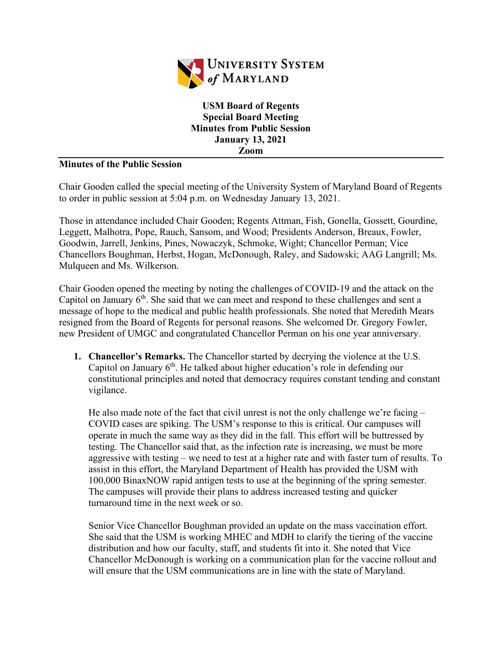

**USM Board of Regents Special Board Meeting Minutes from Public Session January 13, 2021 Zoom**

## **Minutes of the Public Session**

Chair Gooden called the special meeting of the University System of Maryland Board of Regents to order in public session at 5:04 p.m. on Wednesday January 13, 2021.

Those in attendance included Chair Gooden; Regents Attman, Fish, Gonella, Gossett, Gourdine, Leggett, Malhotra, Pope, Rauch, Sansom, and Wood; Presidents Anderson, Breaux, Fowler, Goodwin, Jarrell, Jenkins, Pines, Nowaczyk, Schmoke, Wight; Chancellor Perman; Vice Chancellors Boughman, Herbst, Hogan, McDonough, Raley, and Sadowski; AAG Langrill; Ms. Mulqueen and Ms. Wilkerson.

Chair Gooden opened the meeting by noting the challenges of COVID-19 and the attack on the Capitol on January  $6<sup>th</sup>$ . She said that we can meet and respond to these challenges and sent a message of hope to the medical and public health professionals. She noted that Meredith Mears resigned from the Board of Regents for personal reasons. She welcomed Dr. Gregory Fowler, new President of UMGC and congratulated Chancellor Perman on his one year anniversary.

**1. Chancellor's Remarks.** The Chancellor started by decrying the violence at the U.S. Capitol on January  $6^{th}$ . He talked about higher education's role in defending our constitutional principles and noted that democracy requires constant tending and constant vigilance.

He also made note of the fact that civil unrest is not the only challenge we're facing  $-$ COVID cases are spiking. The USM's response to this is critical. Our campuses will operate in much the same way as they did in the fall. This effort will be buttressed by testing. The Chancellor said that, as the infection rate is increasing, we must be more aggressive with testing – we need to test at a higher rate and with faster turn of results. To assist in this effort, the Maryland Department of Health has provided the USM with 100,000 BinaxNOW rapid antigen tests to use at the beginning of the spring semester. The campuses will provide their plans to address increased testing and quicker turnaround time in the next week or so.

Senior Vice Chancellor Boughman provided an update on the mass vaccination effort. She said that the USM is working MHEC and MDH to clarify the tiering of the vaccine distribution and how our faculty, staff, and students fit into it. She noted that Vice Chancellor McDonough is working on a communication plan for the vaccine rollout and will ensure that the USM communications are in line with the state of Maryland.